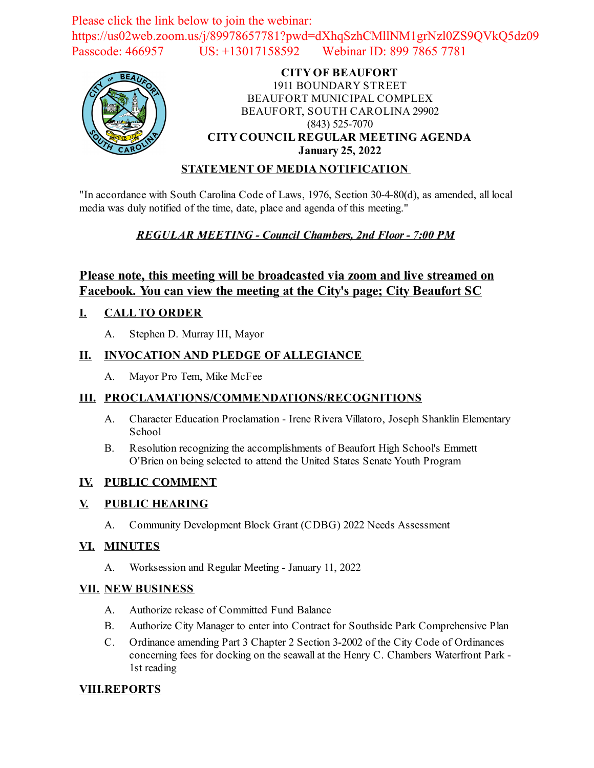Please click the link below to join the webinar: https://us02web.zoom.us/j/89978657781?pwd=dXhqSzhCMllNM1grNzl0ZS9QVkQ5dz09 Passcode: 466957 US: +13017158592 Webinar ID: 899 7865 7781



#### **CITY OF BEAUFORT** 1911 BOUNDARY STREET BEAUFORT MUNICIPAL COMPLEX BEAUFORT, SOUTH CAROLINA 29902 (843) 525-7070 **CITY COUNCIL REGULAR MEETING AGENDA January 25, 2022**

### **STATEMENT OF MEDIA NOTIFICATION**

"In accordance with South Carolina Code of Laws, 1976, Section 30-4-80(d), as amended, all local media was duly notified of the time, date, place and agenda of this meeting."

# *REGULAR MEETING - Council Chambers, 2nd Floor - 7:00 PM*

# **Please note, this meeting will be broadcasted via zoom and live streamed on Facebook. You can view the meeting at the City's page; City Beaufort SC**

# **I. CALL TO ORDER**

A. Stephen D. Murray III, Mayor

#### **II. INVOCATION AND PLEDGE OF ALLEGIANCE**

A. Mayor Pro Tem, Mike McFee

#### **III. PROCLAMATIONS/COMMENDATIONS/RECOGNITIONS**

- A. Character Education Proclamation Irene Rivera Villatoro, Joseph Shanklin Elementary School
- B. Resolution recognizing the accomplishments of Beaufort High School's Emmett O'Brien on being selected to attend the United States Senate Youth Program

#### **IV. PUBLIC COMMENT**

#### **V. PUBLIC HEARING**

A. [Community Development Block Grant \(CDBG\) 2022 Needs Assessment](file:///C:/Windows/TEMP/CoverSheet.aspx?ItemID=2389&MeetingID=345)

#### **VI. MINUTES**

A. Worksession and Regular Meeting - January 11, 2022

#### **VII. NEW BUSINESS**

- A. [Authorize release of Committed Fund Balance](file:///C:/Windows/TEMP/CoverSheet.aspx?ItemID=2382&MeetingID=345)
- B. [Authorize City Manager to enter into Contract for Southside Park Comprehensive Plan](file:///C:/Windows/TEMP/CoverSheet.aspx?ItemID=2392&MeetingID=345)
- C. Ordinance amending Part 3 Chapter 2 Section 3-2002 of the City Code of Ordinances [concerning fees for docking on the seawall at the Henry C. Chambers Waterfront Park -](file:///C:/Windows/TEMP/CoverSheet.aspx?ItemID=2397&MeetingID=345) 1st reading

#### **VIII.REPORTS**